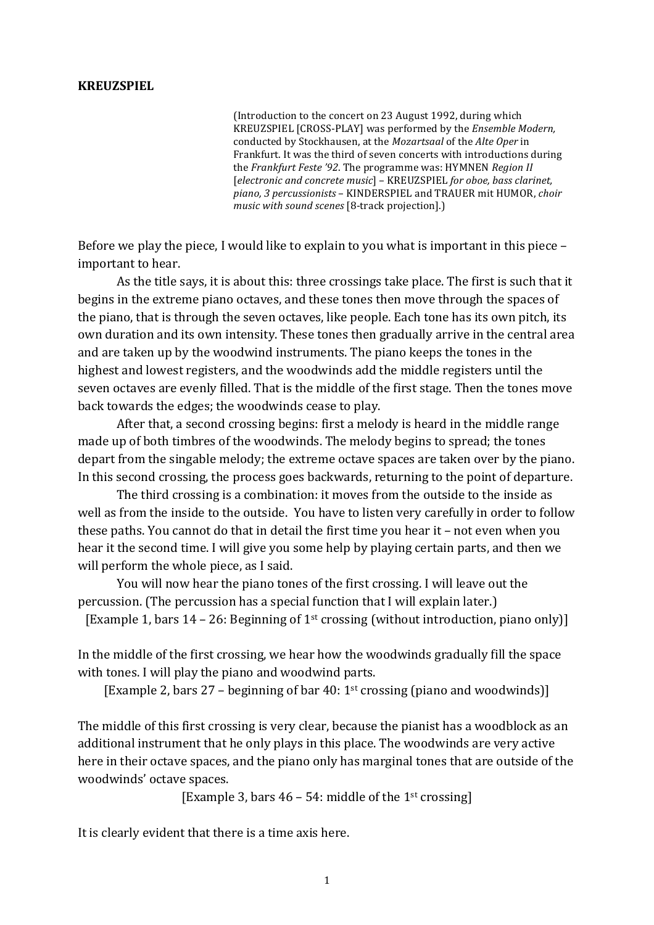## **KREUZSPIEL**

(Introduction to the concert on 23 August 1992, during which KREUZSPIEL [CROSS-PLAY] was performed by the *Ensemble Modern*, conducted by Stockhausen, at the *Mozartsaal* of the *Alte Oper* in Frankfurt. It was the third of seven concerts with introductions during the *Frankfurt Feste '92*. The programme was: HYMNEN *Region II* [*electronic and concrete music*] – KREUZSPIEL *for oboe, bass clarinet,* piano, 3 percussionists – KINDERSPIEL and TRAUER mit HUMOR, *choir music with sound scenes* [8-track projection].)

Before we play the piece, I would like to explain to you what is important in this piece – important to hear.

As the title says, it is about this: three crossings take place. The first is such that it begins in the extreme piano octaves, and these tones then move through the spaces of the piano, that is through the seven octaves, like people. Each tone has its own pitch, its own duration and its own intensity. These tones then gradually arrive in the central area and are taken up by the woodwind instruments. The piano keeps the tones in the highest and lowest registers, and the woodwinds add the middle registers until the seven octaves are evenly filled. That is the middle of the first stage. Then the tones move back towards the edges; the woodwinds cease to play.

After that, a second crossing begins: first a melody is heard in the middle range made up of both timbres of the woodwinds. The melody begins to spread; the tones depart from the singable melody; the extreme octave spaces are taken over by the piano. In this second crossing, the process goes backwards, returning to the point of departure.

The third crossing is a combination: it moves from the outside to the inside as well as from the inside to the outside. You have to listen very carefully in order to follow these paths. You cannot do that in detail the first time you hear it – not even when you hear it the second time. I will give you some help by playing certain parts, and then we will perform the whole piece, as I said.

You will now hear the piano tones of the first crossing. I will leave out the percussion. (The percussion has a special function that I will explain later.) [Example 1, bars  $14 - 26$ : Beginning of 1<sup>st</sup> crossing (without introduction, piano only)]

In the middle of the first crossing, we hear how the woodwinds gradually fill the space with tones. I will play the piano and woodwind parts.

[Example 2, bars 27 – beginning of bar 40: 1st crossing (piano and woodwinds)]

The middle of this first crossing is very clear, because the pianist has a woodblock as an additional instrument that he only plays in this place. The woodwinds are very active here in their octave spaces, and the piano only has marginal tones that are outside of the woodwinds' octave spaces.

[Example 3, bars  $46 - 54$ : middle of the 1<sup>st</sup> crossing]

It is clearly evident that there is a time axis here.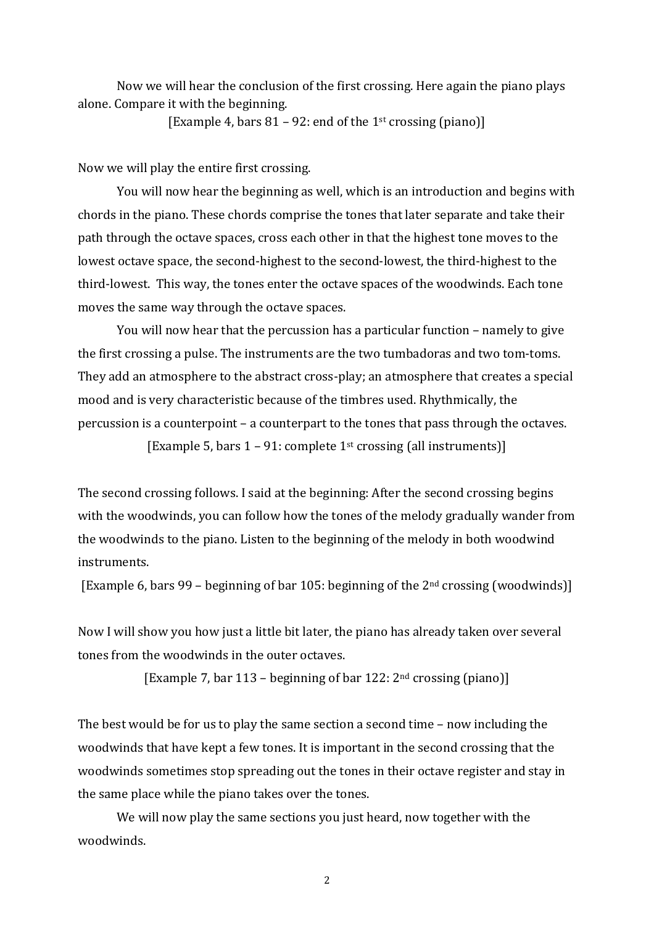Now we will hear the conclusion of the first crossing. Here again the piano plays alone. Compare it with the beginning.

[Example 4, bars  $81 - 92$ : end of the 1<sup>st</sup> crossing (piano)]

Now we will play the entire first crossing.

You will now hear the beginning as well, which is an introduction and begins with chords in the piano. These chords comprise the tones that later separate and take their path through the octave spaces, cross each other in that the highest tone moves to the lowest octave space, the second-highest to the second-lowest, the third-highest to the third-lowest. This way, the tones enter the octave spaces of the woodwinds. Each tone moves the same way through the octave spaces.

You will now hear that the percussion has a particular function – namely to give the first crossing a pulse. The instruments are the two tumbadoras and two tom-toms. They add an atmosphere to the abstract cross-play; an atmosphere that creates a special mood and is very characteristic because of the timbres used. Rhythmically, the percussion is a counterpoint – a counterpart to the tones that pass through the octaves.

[Example 5, bars  $1 - 91$ : complete  $1<sup>st</sup>$  crossing (all instruments)]

The second crossing follows. I said at the beginning: After the second crossing begins with the woodwinds, you can follow how the tones of the melody gradually wander from the woodwinds to the piano. Listen to the beginning of the melody in both woodwind instruments.

[Example 6, bars 99 – beginning of bar 105: beginning of the  $2<sup>nd</sup>$  crossing (woodwinds)]

Now I will show you how just a little bit later, the piano has already taken over several tones from the woodwinds in the outer octaves.

[Example 7, bar 113 – beginning of bar 122:  $2<sup>nd</sup>$  crossing (piano)]

The best would be for us to play the same section a second time – now including the woodwinds that have kept a few tones. It is important in the second crossing that the woodwinds sometimes stop spreading out the tones in their octave register and stay in the same place while the piano takes over the tones.

We will now play the same sections you just heard, now together with the woodwinds.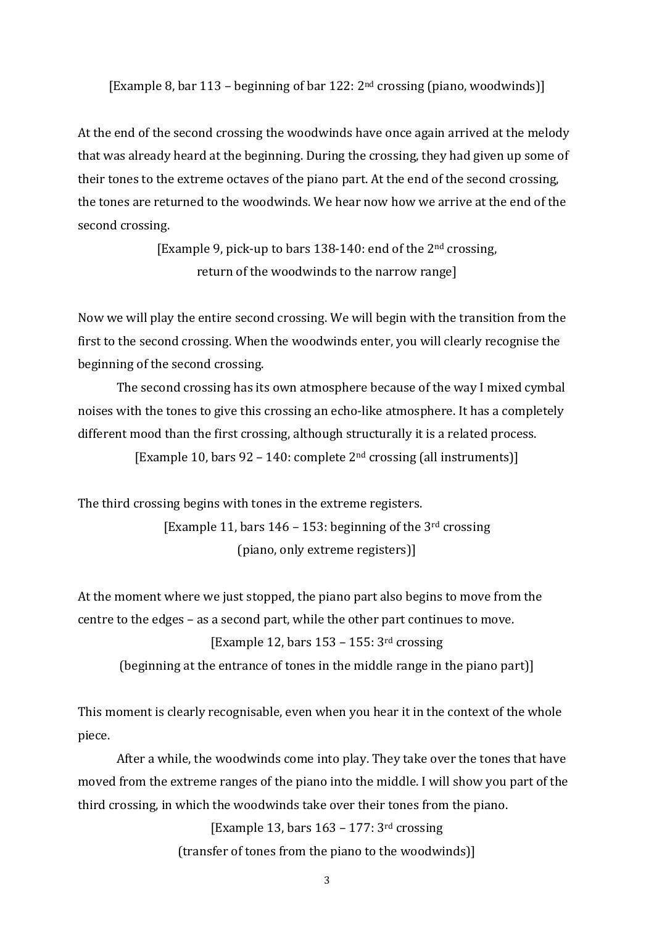[Example 8, bar 113 – beginning of bar 122:  $2<sup>nd</sup>$  crossing (piano, woodwinds)]

At the end of the second crossing the woodwinds have once again arrived at the melody that was already heard at the beginning. During the crossing, they had given up some of their tones to the extreme octaves of the piano part. At the end of the second crossing, the tones are returned to the woodwinds. We hear now how we arrive at the end of the second crossing.

> [Example 9, pick-up to bars  $138-140$ : end of the  $2<sup>nd</sup>$  crossing, return of the woodwinds to the narrow range]

Now we will play the entire second crossing. We will begin with the transition from the first to the second crossing. When the woodwinds enter, you will clearly recognise the beginning of the second crossing.

The second crossing has its own atmosphere because of the way I mixed cymbal noises with the tones to give this crossing an echo-like atmosphere. It has a completely different mood than the first crossing, although structurally it is a related process.

[Example 10, bars  $92 - 140$ : complete  $2<sup>nd</sup>$  crossing (all instruments)]

The third crossing begins with tones in the extreme registers.

[Example 11, bars  $146 - 153$ : beginning of the 3<sup>rd</sup> crossing (piano, only extreme registers)]

At the moment where we just stopped, the piano part also begins to move from the centre to the edges – as a second part, while the other part continues to move.

## [Example 12, bars  $153 - 155$ : 3<sup>rd</sup> crossing

(beginning at the entrance of tones in the middle range in the piano part)]

This moment is clearly recognisable, even when you hear it in the context of the whole piece.

After a while, the woodwinds come into play. They take over the tones that have moved from the extreme ranges of the piano into the middle. I will show you part of the third crossing, in which the woodwinds take over their tones from the piano.

> [Example 13, bars  $163 - 177$ : 3rd crossing (transfer of tones from the piano to the woodwinds)]